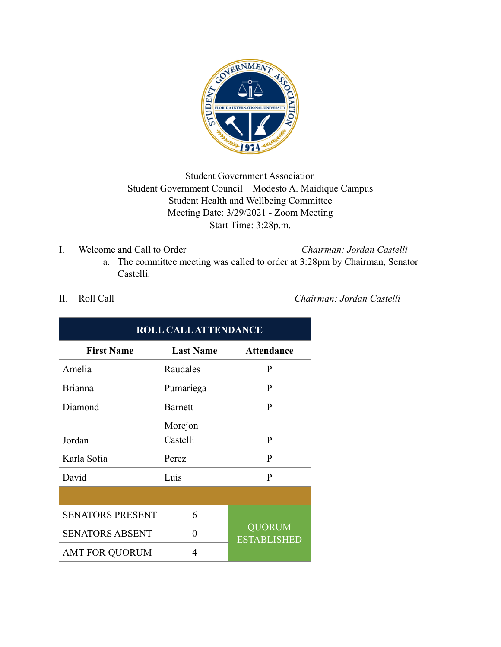

## Student Government Association Student Government Council – Modesto A. Maidique Campus Student Health and Wellbeing Committee Meeting Date: 3/29/2021 - Zoom Meeting Start Time: 3:28p.m.

I. Welcome and Call to Order *Chairman: Jordan Castelli*

a. The committee meeting was called to order at 3:28pm by Chairman, Senator Castelli.

| <b>ROLL CALL ATTENDANCE</b> |                  |                                     |  |  |
|-----------------------------|------------------|-------------------------------------|--|--|
| <b>First Name</b>           | <b>Last Name</b> | <b>Attendance</b>                   |  |  |
| Amelia                      | Raudales         | P                                   |  |  |
| <b>Brianna</b>              | Pumariega        | P                                   |  |  |
| Diamond                     | Barnett          | $\mathbf{P}$                        |  |  |
|                             | Morejon          |                                     |  |  |
| Jordan                      | Castelli         | P                                   |  |  |
| Karla Sofia                 | Perez            | $\mathbf{P}$                        |  |  |
| David                       | Luis             | P                                   |  |  |
|                             |                  |                                     |  |  |
| <b>SENATORS PRESENT</b>     | 6                |                                     |  |  |
| <b>SENATORS ABSENT</b>      | $\theta$         | <b>QUORUM</b><br><b>ESTABLISHED</b> |  |  |
| <b>AMT FOR QUORUM</b>       | 4                |                                     |  |  |

II. Roll Call *Chairman: Jordan Castelli*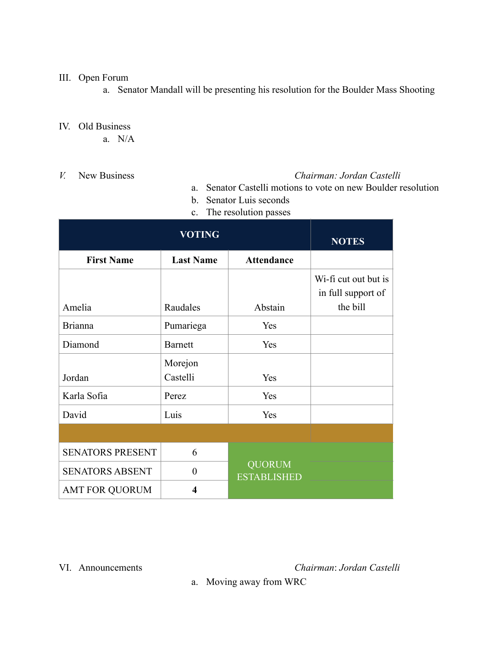## III. Open Forum

a. Senator Mandall will be presenting his resolution for the Boulder Mass Shooting

## IV. Old Business

- a. N/A
- 

## *V.* New Business *Chairman: Jordan Castelli*

- a. Senator Castelli motions to vote on new Boulder resolution
- b. Senator Luis seconds
- c. The resolution passes

| <b>VOTING</b>           |                         |                                     | <b>NOTES</b>                               |
|-------------------------|-------------------------|-------------------------------------|--------------------------------------------|
| <b>First Name</b>       | <b>Last Name</b>        | <b>Attendance</b>                   |                                            |
|                         |                         |                                     | Wi-fi cut out but is<br>in full support of |
| Amelia                  | Raudales                | Abstain                             | the bill                                   |
| <b>Brianna</b>          | Pumariega               | Yes                                 |                                            |
| Diamond                 | <b>Barnett</b>          | Yes                                 |                                            |
| Jordan                  | Morejon<br>Castelli     | Yes                                 |                                            |
| Karla Sofia             | Perez                   | Yes                                 |                                            |
| David                   | Luis                    | Yes                                 |                                            |
|                         |                         |                                     |                                            |
| <b>SENATORS PRESENT</b> | 6                       |                                     |                                            |
| <b>SENATORS ABSENT</b>  | $\overline{0}$          | <b>QUORUM</b><br><b>ESTABLISHED</b> |                                            |
| <b>AMT FOR QUORUM</b>   | $\overline{\mathbf{4}}$ |                                     |                                            |

VI. Announcements *Chairman*: *Jordan Castelli*

a. Moving away from WRC